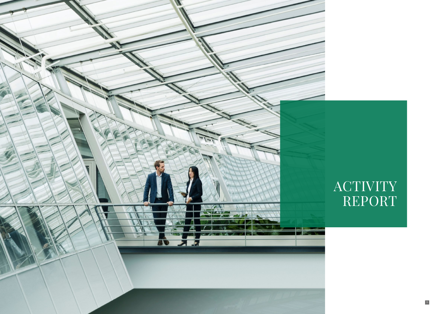

# **ACTIVITY** REPORT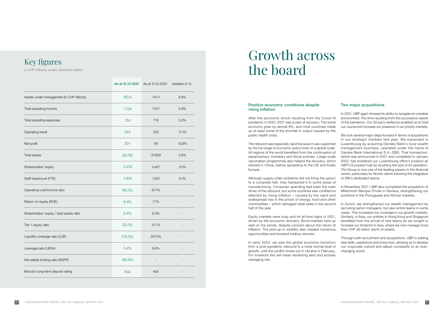# Growth across the board

### Positive economic conditions despite rising inflation

After the economic shock resulting from the Covid-19 pandemic in 2020, 2021 was a year of recovery. The world economy grew by almost 6%, and most countries made up at least some of the shortfall in output caused by the public health crisis.

The rebound was especially rapid because it was supported by the full range of economic policy tools on a global scale. All regions of the world benefited from the continuation of expansionary monetary and fiscal policies. Large-scale vaccination programmes also helped the recovery, which started in China, before spreading to the US and finally Europe.

Although supply-chain problems did not bring the upturn to a complete halt, they hampered it in some areas of manufacturing. Consumer spending had been the main driver of the rebound, but some countries saw confidence affected by rising inflation – caused by the rapid and widespread rise in the prices of energy, food and other commodities – which damaged retail sales in the second half of the year.

Equity markets were busy and hit all-time highs in 2021, driven by the economic recovery. Bond markets held up well on the whole, despite concern about the return of inflation. The pick-up in volatility also created numerous opportunities and boosted trading volumes.

We took several major steps forward in terms of acquisitions in our strategic markets last year. We expanded in Luxembourg by acquiring Danske Bank's local wealth management business, operated under the name of Danske Bank International S.A. (DBI). That transaction, which was announced in 2021 and completed in January 2022, has bolstered our Luxembourg office's position as UBP's European hub by doubling the size of its operation. The Group is now one of the leading players in this financial centre, particularly for Nordic clients following the integration of DBI's dedicated teams.

In early 2022, we saw the global economy transition from a post-pandemic rebound to a more normal level of growth, until the conflict broke out in Ukraine in February. For investors this will mean remaining alert and actively managing risk.

# Two major acquisitions

In 2021, UBP again showed its ability to navigate an unstable environment, this time resulting from the successive waves of the pandemic. Our Group's resilience enabled us to hold our course and increase our presence in our priority markets.

In November 2021, UBP also completed the acquisition of Millennium Banque Privée in Geneva, strengthening our positions in the Portuguese and African markets.

In Zurich, we strengthened our wealth management by recruiting senior managers, but also entire teams in some cases. This increased our coverage in our growth markets. Similarly, in Asia, our entities in Hong Kong and Singapore benefited from the arrival of new teams as we sought to increase our footprint in Asia, where we now manage more than CHF 30 billion worth of assets.

Through both recruitment and acquisitions, UBP is adding new skills, experience and know-how, allowing us to develop our corporate culture and adjust constantly to an everchanging world.

|                                           | As at 31.12.2021 | As at 31.12.2020 | Variation in % |
|-------------------------------------------|------------------|------------------|----------------|
| Assets under management (in CHF billions) | 160.4            | 147.4            | 8.8%           |
| Total operating income                    | 1,134            | 1,071            | 5.9%           |
| Total operating expenses                  | 754              | 718              | 5.0%           |
| Operating result                          | 244              | 220              | 11.1%          |
| Net profit                                | 201              | 181              | 10.9%          |
| <b>Total assets</b>                       | 38,785           | 37,809           | 2.6%           |
| Shareholders' equity                      | 2,478            | 2,407            | 3.0%           |
| Staff headcount (FTE)                     | 1,904            | 1,812            | 5.1%           |
| Operating cost/income ratio               | 66.5%            | 67.1%            |                |
| Return on equity (ROE)                    | 8.4%             | 7.7%             |                |
| Shareholders' equity / total assets ratio | 6.4%             | 6.4%             |                |
| Tier 1 equity ratio                       | 25.2%            | 27.7%            |                |
| Liquidity coverage ratio (LCR)            | 274.5%           | 307.5%           |                |
| Leverage ratio (LERA)                     | 5.4%             | 6.6%             |                |
| Net stable funding ratio (NSFR)           | 162.6%           |                  |                |
| Moody's long-term deposit rating          | Aa2              | Aa2              |                |

# Key figures

in CHF millions, unless otherwise stated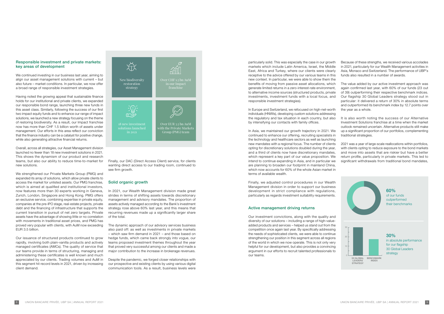Finally, our DAC (Direct Access Client) service, for clients wanting direct access to our trading room, continued to see firm growth.

# Solid organic growth

In 2021, our Wealth Management division made great strides in terms of shifting assets towards discretionary management and advisory mandates. The proportion of assets actively managed according to the Bank's investment strategy rose above 60% last year, and this means that recurring revenues made up a significantly larger share of the total.

The dynamic approach of our advisory services business also paid off: as well as investments in private markets – which saw firm demand in 2021 – and those based on hedge funds, which came back strongly into vogue, our teams proposed investment themes throughout the year that proved very successful among our clients and made a major contribution to the increase in brokerage revenues.

Despite the pandemic, we forged closer relationships with our prospective and existing clients by using various digital communication tools. As a result, business levels were

particularly solid. This was especially the case in our growth markets which include Latin America, Israel, the Middle East, Africa and Turkey, where our clients were clearly receptive to the advice offered by our various teams in this new context. In particular, we were able to show them the benefits of moving from passive asset allocations, which generate limited returns in a zero-interest-rate environment, to alternative income sources (structured products, private investments, investment funds with a local focus, and responsible investment strategies).

In Europe and Switzerland, we refocused on high-net-worth individuals (HNWIs), developing custom solutions addressing the regulatory and tax situation in each country, but also by intensifying our contacts with family offices.

Finally, we adjusted control procedures in our Wealth Management division in order to support our business development in strict compliance with regulations, particularly as regards investment suitability requirements.

### Active management driving returns

Our investment convictions, along with the quality and diversity of our solutions – including a range of high-valueadded products and services – helped us stand out from the competition once again last year. By specifically addressing the needs of sophisticated clients, we were able to continue strengthening our position in this segment across all regions of the world in which we now operate. This is not only very helpful for our development, but also provides a convincing argument in our efforts to recruit talented professionals to our teams.

In Asia, we maintained our growth trajectory in 2021. We continued to enhance our offering, recruiting specialists in the technology and healthcare sectors as well as launching new mandates with a regional focus. The number of clients opting for discretionary solutions doubled during the year, and a third of clients now have discretionary mandates, which represent a key part of our value proposition. We intend to continue expanding in Asia, and in particular we are planning to broaden our footprint in mainland China, which now accounts for 60% of the whole Asian market in terms of available wealth. up a significant proportion of our portfolios, complementing traditional strategies. 2021 was a year of large-scale reallocations within portfolios, with clients opting to reduce exposure to the bond markets and move into assets that are riskier but have a better return profile, particularly in private markets. This led to significant withdrawals from traditional bond mandates,

Because of these strengths, we received various accolades in 2021, particularly for our Wealth Management activities in Asia, Monaco and Switzerland. The performance of UBP's funds also resulted in a number of awards.

The value added by our active investment approach was again confirmed last year, with 60% of our funds (23 out of 39) outperforming their respective benchmark indices. Our flagship 30 Global Leaders strategy stood out in particular: it delivered a return of 30% in absolute terms and outperformed its benchmark index by 12.7 points over the year as a whole.

It is also worth noting the success of our Alternative Investment Solutions franchise at a time when the market outlook remained uncertain. Alternative products still make

#### Responsible investment and private markets: key areas of development

We continued investing in our business last year, aiming to align our asset management solutions with current – but also future – market conditions. In particular, we now offer a broad range of responsible investment strategies.

Having noted the growing appeal that sustainable finance holds for our institutional and private clients, we expanded our responsible bond range, launching three new funds in this asset class. Similarly, following the success of our first two impact equity funds and to enhance our range of impact solutions, we launched a new strategy focusing on the theme of restoring biodiversity. As a result, our Impact franchise now has more than CHF 1.5 billion worth of assets under management. Our efforts in this area reflect our conviction that the finance industry can be a catalyst for positive change, while also generating attractive financial returns.

Overall, across all strategies, our Asset Management division launched no fewer than 18 new investment solutions in 2021. This shows the dynamism of our product and research teams, but also our ability to reduce time-to-market for new solutions.

We strengthened our Private Markets Group (PMG) and expanded its array of solutions, which allow private clients to access the market for unlisted assets. Our PMG franchise, which is aimed at qualified and institutional investors, now features more than 30 experts working in Geneva, Zurich, London, Singapore and Hong Kong. PMG offers an exclusive service, combining expertise in private equity, companies at the pre-IPO stage, real-estate projects, private debt and the financing of infrastructure that supports the current transition in pursuit of net zero targets. Private assets have the advantage of showing little or no correlation with movements in traditional asset prices, and PMG has proved very popular with clients, with AuM now exceeding EUR 3.5 billion.

Our issuance of structured products continued to grow rapidly, involving both plain-vanilla products and actively managed certificates (AMCs). The quality of service that our teams provide in terms of structuring, managing and administering these certificates is well known and much appreciated by our clients. Trading volumes and AuM in this segment hit record levels in 2021, driven by increasing client demand.